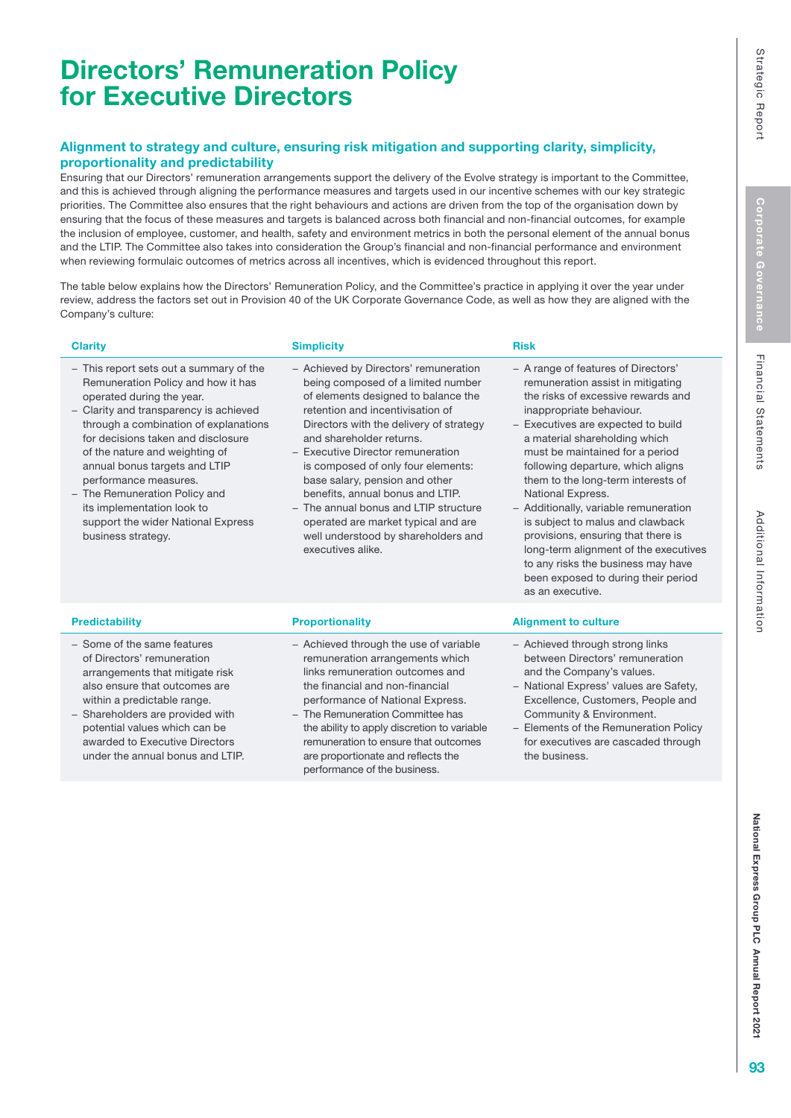# Directors' Remuneration Policy for Executive Directors

### Alignment to strategy and culture, ensuring risk mitigation and supporting clarity, simplicity, proportionality and predictability

Ensuring that our Directors' remuneration arrangements support the delivery of the Evolve strategy is important to the Committee, and this is achieved through aligning the performance measures and targets used in our incentive schemes with our key strategic priorities. The Committee also ensures that the right behaviours and actions are driven from the top of the organisation down by ensuring that the focus of these measures and targets is balanced across both financial and non-financial outcomes, for example the inclusion of employee, customer, and health, safety and environment metrics in both the personal element of the annual bonus and the LTIP. The Committee also takes into consideration the Group's financial and non-financial performance and environment when reviewing formulaic outcomes of metrics across all incentives, which is evidenced throughout this report.

The table below explains how the Directors' Remuneration Policy, and the Committee's practice in applying it over the year under review, address the factors set out in Provision 40 of the UK Corporate Governance Code, as well as how they are aligned with the Company's culture:

#### **Clarity Risk Clarity Simplicity Simplicity** (Clarity Risk

− This report sets out a summary of the Remuneration Policy and how it has operated during the year.

− Clarity and transparency is achieved through a combination of explanations for decisions taken and disclosure of the nature and weighting of annual bonus targets and LTIP performance measures.

- − The Remuneration Policy and its implementation look to support the wider National Express business strategy.
- − Achieved by Directors' remuneration being composed of a limited number of elements designed to balance the retention and incentivisation of Directors with the delivery of strategy and shareholder returns.
- − Executive Director remuneration is composed of only four elements: base salary, pension and other benefits, annual bonus and LTIP.
- The annual bonus and LTIP structure operated are market typical and are well understood by shareholders and executives alike.

### **Predictability Proportionality Proportionality Predictability Alignment to culture**

as an executive.

National Express.

− Achieved through strong links between Directors' remuneration and the Company's values.

− Additionally, variable remuneration is subject to malus and clawback provisions, ensuring that there is long-term alignment of the executives to any risks the business may have been exposed to during their period

− A range of features of Directors' remuneration assist in mitigating the risks of excessive rewards and

inappropriate behaviour. − Executives are expected to build a material shareholding which must be maintained for a period following departure, which aligns them to the long-term interests of

- − National Express' values are Safety, Excellence, Customers, People and Community & Environment.
- − Elements of the Remuneration Policy for executives are cascaded through the business.

- − Some of the same features of Directors' remuneration arrangements that mitigate risk also ensure that outcomes are within a predictable range.
- − Shareholders are provided with potential values which can be awarded to Executive Directors under the annual bonus and LTIP.

## − Achieved through the use of variable remuneration arrangements which

- links remuneration outcomes and the financial and non-financial performance of National Express. The Remuneration Committee has
- the ability to apply discretion to variable remuneration to ensure that outcomes are proportionate and reflects the performance of the business.

Strategic Report Corporate Governance Financial Statements Additional Information<br>National Report National Express Group PLC Annual Report 2021 National Express Group PLC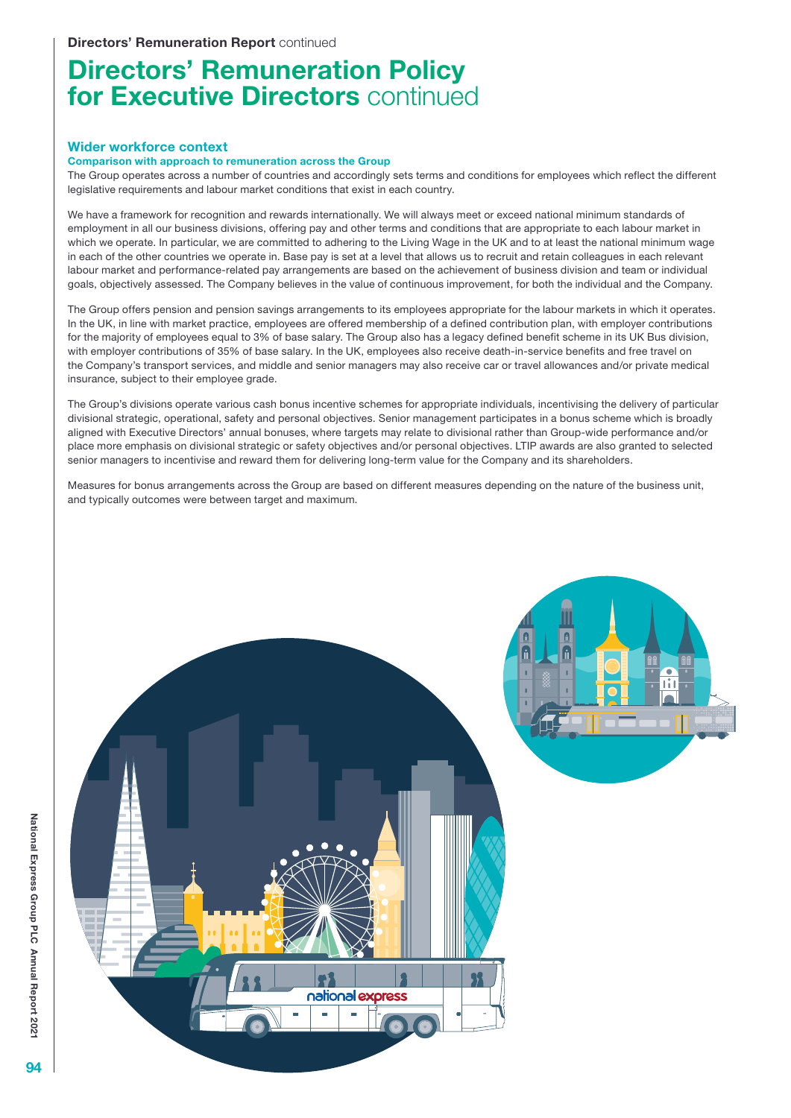# Directors' Remuneration Policy for Executive Directors continued

#### Wider workforce context

#### Comparison with approach to remuneration across the Group

The Group operates across a number of countries and accordingly sets terms and conditions for employees which reflect the different legislative requirements and labour market conditions that exist in each country.

We have a framework for recognition and rewards internationally. We will always meet or exceed national minimum standards of employment in all our business divisions, offering pay and other terms and conditions that are appropriate to each labour market in which we operate. In particular, we are committed to adhering to the Living Wage in the UK and to at least the national minimum wage in each of the other countries we operate in. Base pay is set at a level that allows us to recruit and retain colleagues in each relevant labour market and performance-related pay arrangements are based on the achievement of business division and team or individual goals, objectively assessed. The Company believes in the value of continuous improvement, for both the individual and the Company.

The Group offers pension and pension savings arrangements to its employees appropriate for the labour markets in which it operates. In the UK, in line with market practice, employees are offered membership of a defined contribution plan, with employer contributions for the majority of employees equal to 3% of base salary. The Group also has a legacy defined benefit scheme in its UK Bus division, with employer contributions of 35% of base salary. In the UK, employees also receive death-in-service benefits and free travel on the Company's transport services, and middle and senior managers may also receive car or travel allowances and/or private medical insurance, subject to their employee grade.

The Group's divisions operate various cash bonus incentive schemes for appropriate individuals, incentivising the delivery of particular divisional strategic, operational, safety and personal objectives. Senior management participates in a bonus scheme which is broadly aligned with Executive Directors' annual bonuses, where targets may relate to divisional rather than Group-wide performance and/or place more emphasis on divisional strategic or safety objectives and/or personal objectives. LTIP awards are also granted to selected senior managers to incentivise and reward them for delivering long-term value for the Company and its shareholders.

Measures for bonus arrangements across the Group are based on different measures depending on the nature of the business unit, and typically outcomes were between target and maximum.

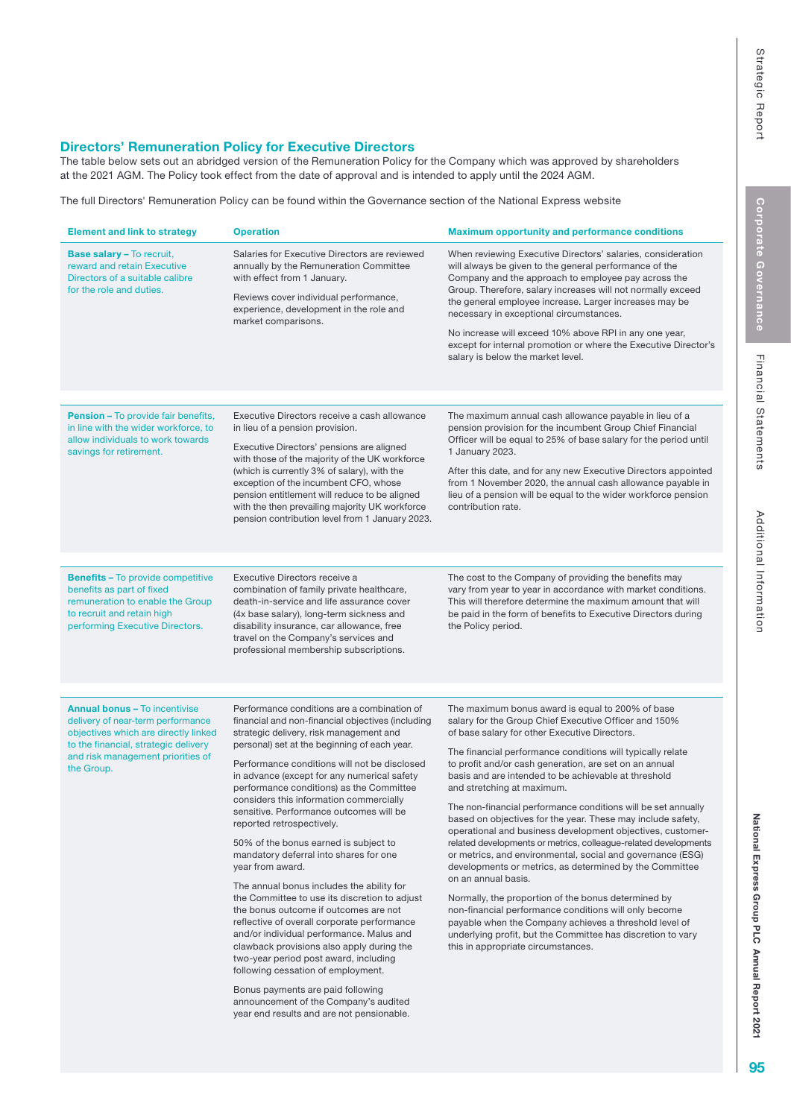### Directors' Remuneration Policy for Executive Directors

The table below sets out an abridged version of the Remuneration Policy for the Company which was approved by shareholders at the 2021 AGM. The Policy took effect from the date of approval and is intended to apply until the 2024 AGM.

[The full Directors' Remuneration Policy can be found within the Governance section of the National Express website](https://www.nationalexpressgroup.com/about-us/corporate-governance/remuneration/)

| <b>Element and link to strategy</b>                                                                                                                                                                          | <b>Operation</b>                                                                                                                                                                                                                                                                                                                                                                                                                                                                                                                                                                                                                                                                                                                                                                                                                                                                                                                                                                                                                                          | <b>Maximum opportunity and performance conditions</b>                                                                                                                                                                                                                                                                                                                                                                                                                                                                                                                                                                                                                                                                                                                                                                                                                                                                                                                                                                                                                    |  |
|--------------------------------------------------------------------------------------------------------------------------------------------------------------------------------------------------------------|-----------------------------------------------------------------------------------------------------------------------------------------------------------------------------------------------------------------------------------------------------------------------------------------------------------------------------------------------------------------------------------------------------------------------------------------------------------------------------------------------------------------------------------------------------------------------------------------------------------------------------------------------------------------------------------------------------------------------------------------------------------------------------------------------------------------------------------------------------------------------------------------------------------------------------------------------------------------------------------------------------------------------------------------------------------|--------------------------------------------------------------------------------------------------------------------------------------------------------------------------------------------------------------------------------------------------------------------------------------------------------------------------------------------------------------------------------------------------------------------------------------------------------------------------------------------------------------------------------------------------------------------------------------------------------------------------------------------------------------------------------------------------------------------------------------------------------------------------------------------------------------------------------------------------------------------------------------------------------------------------------------------------------------------------------------------------------------------------------------------------------------------------|--|
| <b>Base salary - To recruit,</b><br>reward and retain Executive<br>Directors of a suitable calibre<br>for the role and duties.                                                                               | Salaries for Executive Directors are reviewed<br>annually by the Remuneration Committee<br>with effect from 1 January.<br>Reviews cover individual performance,<br>experience, development in the role and<br>market comparisons.                                                                                                                                                                                                                                                                                                                                                                                                                                                                                                                                                                                                                                                                                                                                                                                                                         | When reviewing Executive Directors' salaries, consideration<br>will always be given to the general performance of the<br>Company and the approach to employee pay across the<br>Group. Therefore, salary increases will not normally exceed<br>the general employee increase. Larger increases may be<br>necessary in exceptional circumstances.<br>No increase will exceed 10% above RPI in any one year,<br>except for internal promotion or where the Executive Director's<br>salary is below the market level.                                                                                                                                                                                                                                                                                                                                                                                                                                                                                                                                                       |  |
| <b>Pension - To provide fair benefits,</b>                                                                                                                                                                   | Executive Directors receive a cash allowance                                                                                                                                                                                                                                                                                                                                                                                                                                                                                                                                                                                                                                                                                                                                                                                                                                                                                                                                                                                                              | The maximum annual cash allowance payable in lieu of a                                                                                                                                                                                                                                                                                                                                                                                                                                                                                                                                                                                                                                                                                                                                                                                                                                                                                                                                                                                                                   |  |
| in line with the wider workforce, to<br>allow individuals to work towards<br>savings for retirement.                                                                                                         | in lieu of a pension provision.<br>Executive Directors' pensions are aligned<br>with those of the majority of the UK workforce<br>(which is currently 3% of salary), with the<br>exception of the incumbent CFO, whose<br>pension entitlement will reduce to be aligned<br>with the then prevailing majority UK workforce<br>pension contribution level from 1 January 2023.                                                                                                                                                                                                                                                                                                                                                                                                                                                                                                                                                                                                                                                                              | pension provision for the incumbent Group Chief Financial<br>Officer will be equal to 25% of base salary for the period until<br>1 January 2023.<br>After this date, and for any new Executive Directors appointed<br>from 1 November 2020, the annual cash allowance payable in<br>lieu of a pension will be equal to the wider workforce pension<br>contribution rate.                                                                                                                                                                                                                                                                                                                                                                                                                                                                                                                                                                                                                                                                                                 |  |
|                                                                                                                                                                                                              |                                                                                                                                                                                                                                                                                                                                                                                                                                                                                                                                                                                                                                                                                                                                                                                                                                                                                                                                                                                                                                                           |                                                                                                                                                                                                                                                                                                                                                                                                                                                                                                                                                                                                                                                                                                                                                                                                                                                                                                                                                                                                                                                                          |  |
| <b>Benefits - To provide competitive</b><br>benefits as part of fixed<br>remuneration to enable the Group<br>to recruit and retain high<br>performing Executive Directors.                                   | Executive Directors receive a<br>combination of family private healthcare,<br>death-in-service and life assurance cover<br>(4x base salary), long-term sickness and<br>disability insurance, car allowance, free<br>travel on the Company's services and<br>professional membership subscriptions.                                                                                                                                                                                                                                                                                                                                                                                                                                                                                                                                                                                                                                                                                                                                                        | The cost to the Company of providing the benefits may<br>vary from year to year in accordance with market conditions.<br>This will therefore determine the maximum amount that will<br>be paid in the form of benefits to Executive Directors during<br>the Policy period.                                                                                                                                                                                                                                                                                                                                                                                                                                                                                                                                                                                                                                                                                                                                                                                               |  |
|                                                                                                                                                                                                              |                                                                                                                                                                                                                                                                                                                                                                                                                                                                                                                                                                                                                                                                                                                                                                                                                                                                                                                                                                                                                                                           |                                                                                                                                                                                                                                                                                                                                                                                                                                                                                                                                                                                                                                                                                                                                                                                                                                                                                                                                                                                                                                                                          |  |
| <b>Annual bonus - To incentivise</b><br>delivery of near-term performance<br>objectives which are directly linked<br>to the financial, strategic delivery<br>and risk management priorities of<br>the Group. | Performance conditions are a combination of<br>financial and non-financial objectives (including<br>strategic delivery, risk management and<br>personal) set at the beginning of each year.<br>Performance conditions will not be disclosed<br>in advance (except for any numerical safety<br>performance conditions) as the Committee<br>considers this information commercially<br>sensitive. Performance outcomes will be<br>reported retrospectively.<br>50% of the bonus earned is subject to<br>mandatory deferral into shares for one<br>year from award.<br>The annual bonus includes the ability for<br>the Committee to use its discretion to adjust<br>the bonus outcome if outcomes are not<br>reflective of overall corporate performance<br>and/or individual performance. Malus and<br>clawback provisions also apply during the<br>two-year period post award, including<br>following cessation of employment.<br>Bonus payments are paid following<br>announcement of the Company's audited<br>year end results and are not pensionable. | The maximum bonus award is equal to 200% of base<br>salary for the Group Chief Executive Officer and 150%<br>of base salary for other Executive Directors.<br>The financial performance conditions will typically relate<br>to profit and/or cash generation, are set on an annual<br>basis and are intended to be achievable at threshold<br>and stretching at maximum.<br>The non-financial performance conditions will be set annually<br>based on objectives for the year. These may include safety,<br>operational and business development objectives, customer-<br>related developments or metrics, colleague-related developments<br>or metrics, and environmental, social and governance (ESG)<br>developments or metrics, as determined by the Committee<br>on an annual basis.<br>Normally, the proportion of the bonus determined by<br>non-financial performance conditions will only become<br>payable when the Company achieves a threshold level of<br>underlying profit, but the Committee has discretion to vary<br>this in appropriate circumstances. |  |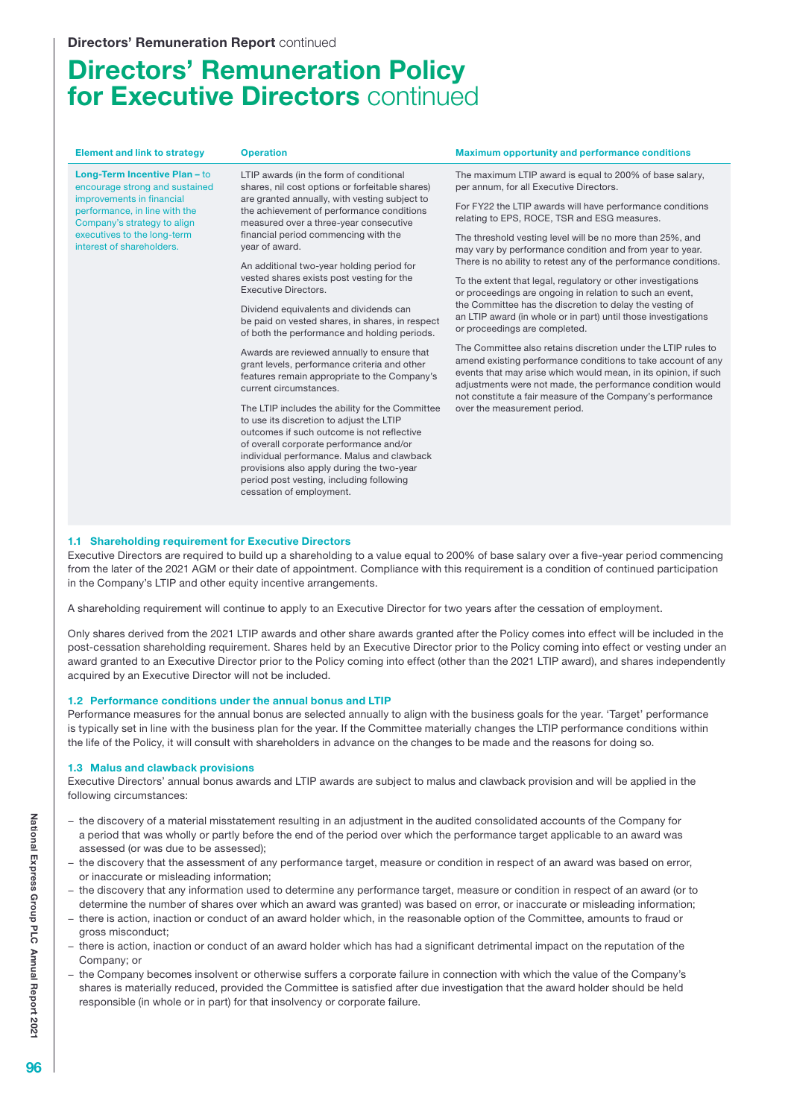# Directors' Remuneration Policy for Executive Directors continued

| <b>Element and link to strategy</b>                                                                                                                                                                                      | <b>Operation</b>                                                                                                                                                                                                                                                                             | <b>Maximum opportunity and performance conditions</b>                                                                                                                                                                                                                                                                        |  |
|--------------------------------------------------------------------------------------------------------------------------------------------------------------------------------------------------------------------------|----------------------------------------------------------------------------------------------------------------------------------------------------------------------------------------------------------------------------------------------------------------------------------------------|------------------------------------------------------------------------------------------------------------------------------------------------------------------------------------------------------------------------------------------------------------------------------------------------------------------------------|--|
| Long-Term Incentive Plan - to<br>encourage strong and sustained<br>improvements in financial<br>performance, in line with the<br>Company's strategy to align<br>executives to the long-term<br>interest of shareholders. | LTIP awards (in the form of conditional<br>shares, nil cost options or forfeitable shares)<br>are granted annually, with vesting subject to<br>the achievement of performance conditions<br>measured over a three-year consecutive<br>financial period commencing with the<br>year of award. | The maximum LTIP award is equal to 200% of base salary,<br>per annum, for all Executive Directors.                                                                                                                                                                                                                           |  |
|                                                                                                                                                                                                                          |                                                                                                                                                                                                                                                                                              | For FY22 the LTIP awards will have performance conditions<br>relating to EPS, ROCE, TSR and ESG measures.                                                                                                                                                                                                                    |  |
|                                                                                                                                                                                                                          |                                                                                                                                                                                                                                                                                              | The threshold vesting level will be no more than 25%, and<br>may vary by performance condition and from year to year.                                                                                                                                                                                                        |  |
|                                                                                                                                                                                                                          | An additional two-year holding period for<br>vested shares exists post vesting for the<br>Executive Directors.                                                                                                                                                                               | There is no ability to retest any of the performance conditions.                                                                                                                                                                                                                                                             |  |
|                                                                                                                                                                                                                          |                                                                                                                                                                                                                                                                                              | To the extent that legal, regulatory or other investigations<br>or proceedings are ongoing in relation to such an event,                                                                                                                                                                                                     |  |
|                                                                                                                                                                                                                          | Dividend equivalents and dividends can<br>be paid on vested shares, in shares, in respect<br>of both the performance and holding periods.                                                                                                                                                    | the Committee has the discretion to delay the vesting of<br>an LTIP award (in whole or in part) until those investigations<br>or proceedings are completed.                                                                                                                                                                  |  |
|                                                                                                                                                                                                                          | Awards are reviewed annually to ensure that<br>grant levels, performance criteria and other<br>features remain appropriate to the Company's<br>current circumstances.                                                                                                                        | The Committee also retains discretion under the LTIP rules to<br>amend existing performance conditions to take account of any<br>events that may arise which would mean, in its opinion, if such<br>adjustments were not made, the performance condition would<br>not constitute a fair measure of the Company's performance |  |
|                                                                                                                                                                                                                          | The LTIP includes the ability for the Committee<br>to use its discretion to adjust the LTIP<br>outcomes if such outcome is not reflective                                                                                                                                                    | over the measurement period.                                                                                                                                                                                                                                                                                                 |  |
|                                                                                                                                                                                                                          | of overall corporate performance and/or<br>individual performance. Malus and clawback<br>provisions also apply during the two-year<br>period post vesting, including following                                                                                                               |                                                                                                                                                                                                                                                                                                                              |  |
|                                                                                                                                                                                                                          | cessation of employment.                                                                                                                                                                                                                                                                     |                                                                                                                                                                                                                                                                                                                              |  |

#### 1.1 Shareholding requirement for Executive Directors

Executive Directors are required to build up a shareholding to a value equal to 200% of base salary over a five-year period commencing from the later of the 2021 AGM or their date of appointment. Compliance with this requirement is a condition of continued participation in the Company's LTIP and other equity incentive arrangements.

A shareholding requirement will continue to apply to an Executive Director for two years after the cessation of employment.

Only shares derived from the 2021 LTIP awards and other share awards granted after the Policy comes into effect will be included in the post-cessation shareholding requirement. Shares held by an Executive Director prior to the Policy coming into effect or vesting under an award granted to an Executive Director prior to the Policy coming into effect (other than the 2021 LTIP award), and shares independently acquired by an Executive Director will not be included.

#### 1.2 Performance conditions under the annual bonus and LTIP

Performance measures for the annual bonus are selected annually to align with the business goals for the year. 'Target' performance is typically set in line with the business plan for the year. If the Committee materially changes the LTIP performance conditions within the life of the Policy, it will consult with shareholders in advance on the changes to be made and the reasons for doing so.

#### 1.3 Malus and clawback provisions

Executive Directors' annual bonus awards and LTIP awards are subject to malus and clawback provision and will be applied in the following circumstances:

- − the discovery of a material misstatement resulting in an adjustment in the audited consolidated accounts of the Company for a period that was wholly or partly before the end of the period over which the performance target applicable to an award was assessed (or was due to be assessed);
- the discovery that the assessment of any performance target, measure or condition in respect of an award was based on error, or inaccurate or misleading information;
- − the discovery that any information used to determine any performance target, measure or condition in respect of an award (or to determine the number of shares over which an award was granted) was based on error, or inaccurate or misleading information;
- − there is action, inaction or conduct of an award holder which, in the reasonable option of the Committee, amounts to fraud or gross misconduct;
- there is action, inaction or conduct of an award holder which has had a significant detrimental impact on the reputation of the Company; or
- − the Company becomes insolvent or otherwise suffers a corporate failure in connection with which the value of the Company's shares is materially reduced, provided the Committee is satisfied after due investigation that the award holder should be held responsible (in whole or in part) for that insolvency or corporate failure.